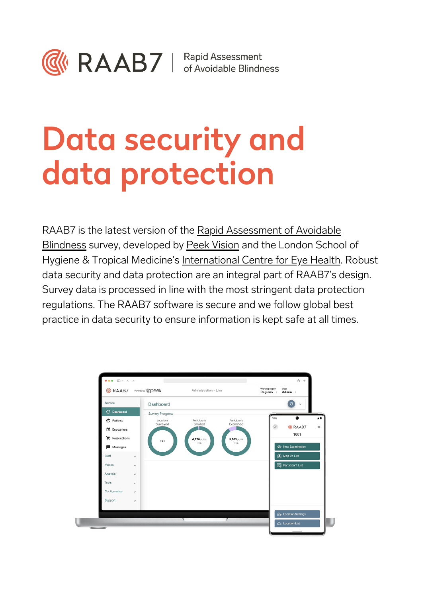

# Data security and data protection

RAAB7 is the latest version of the Rapid [Assessment](https://www.raab.world/) of Avoidable Blindness survey, developed by Peek [Vision](https://peekvision.org/) and the London School of Hygiene & Tropical Medicine's [International](https://iceh.lshtm.ac.uk/) Centre for Eye Health. Robust data security and data protection are an integral part of RAAB7's design. Survey data is processed in line with the most stringent data protection regulations. The RAAB7 software is secure and we follow global best practice in data security to ensure information is kept safe at all times.

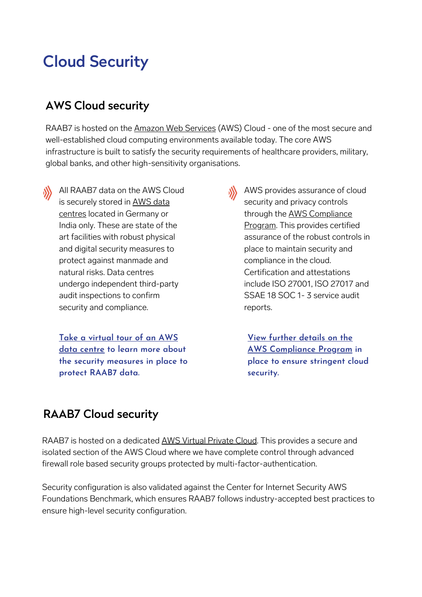# Cloud Security

### AWS Cloud security

RAAB7 is hosted on the Amazon Web [Services](https://aws.amazon.com/) (AWS) Cloud - one of the most secure and well-established cloud computing environments available today. The core AWS infrastructure is built to satisfy the security requirements of healthcare providers, military, global banks, and other high-sensitivity organisations.

All RAAB7 data on the AWS Cloud is securely stored in AWS data centres located in [Germany](https://aws.amazon.com/compliance/data-center/) or India only. These are state of the art facilities with robust physical and digital security measures to protect against manmade and natural risks. Data centres undergo independent third-party audit inspections to confirm security and compliance.

**Take a [virtual](https://aws.amazon.com/compliance/data-center/) tour of an AWS data centre to learn more about the security measures in place to protect RAAB7 data.**

**AWS** provides assurance of cloud security and privacy controls through the AWS [Compliance](https://aws.amazon.com/compliance/programs/) Program. This provides certified assurance of the robust controls in place to maintain security and compliance in the cloud. Certification and attestations include ISO 27001, ISO 27017 and SSAE 18 SOC 1- 3 service audit reports.

> **View [further](https://aws.amazon.com/compliance/programs/) details on the AWS [Compliance](https://aws.amazon.com/compliance/programs/) Program in place to ensure stringent cloud security.**

### RAAB7 Cloud security

RAAB7 is hosted on a dedicated AWS Virtual [Private](https://aws.amazon.com/vpc/) Cloud. This provides a secure and isolated section of the AWS Cloud where we have complete control through advanced firewall role based security groups protected by multi-factor-authentication.

Security configuration is also validated against the Center for Internet Security AWS Foundations Benchmark, which ensures RAAB7 follows industry-accepted best practices to ensure high-level security configuration.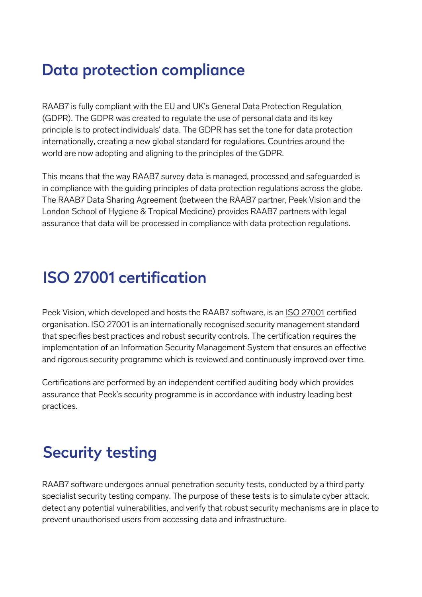## Data protection compliance

RAAB7 is fully compliant with the EU and UK's General Data Protection [Regulation](https://gdpr.eu/) (GDPR). The GDPR was created to regulate the use of personal data and its key principle is to protect individuals' data. The GDPR has set the tone for data protection internationally, creating a new global standard for regulations. Countries around the world are now adopting and aligning to the principles of the GDPR.

This means that the way RAAB7 survey data is managed, processed and safeguarded is in compliance with the guiding principles of data protection regulations across the globe. The RAAB7 Data Sharing Agreement (between the RAAB7 partner, Peek Vision and the London School of Hygiene & Tropical Medicine) provides RAAB7 partners with legal assurance that data will be processed in compliance with data protection regulations.

## ISO 27001 certification

Peek Vision, which developed and hosts the RAAB7 software, is an ISO [27001](https://www.iso.org/isoiec-27001-information-security.html) certified organisation. ISO 27001 is an internationally recognised security management standard that specifies best practices and robust security controls. The certification requires the implementation of an Information Security Management System that ensures an effective and rigorous security programme which is reviewed and continuously improved over time.

Certifications are performed by an independent certified auditing body which provides assurance that Peek's security programme is in accordance with industry leading best practices.

# Security testing

RAAB7 software undergoes annual penetration security tests, conducted by a third party specialist security testing company. The purpose of these tests is to simulate cyber attack, detect any potential vulnerabilities, and verify that robust security mechanisms are in place to prevent unauthorised users from accessing data and infrastructure.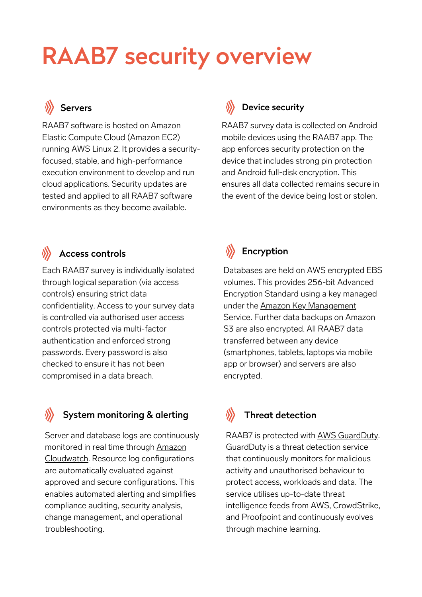# RAAB7 security overview

RAAB7 software is hosted on Amazon Elastic Compute Cloud [\(Amazon](https://aws.amazon.com/ec2/) EC2) running AWS Linux 2. It provides a securityfocused, stable, and high-performance execution environment to develop and run cloud applications. Security updates are tested and applied to all RAAB7 software environments as they become available.

#### Servers **Device security**

RAAB7 survey data is collected on Android mobile devices using the RAAB7 app. The app enforces security protection on the device that includes strong pin protection and Android full-disk encryption. This ensures all data collected remains secure in the event of the device being lost or stolen.

### $\langle \rangle$  Access controls  $\langle \rangle$  Encryption

Each RAAB7 survey is individually isolated through logical separation (via access controls) ensuring strict data confidentiality. Access to your survey data is controlled via authorised user access controls protected via multi-factor authentication and enforced strong passwords. Every password is also checked to ensure it has not been compromised in a data breach.

#### System monitoring & alerting

Server and database logs are continuously monitored in real time through Amazon [Cloudwatch.](https://aws.amazon.com/cloudwatch/) Resource log configurations are automatically evaluated against approved and secure configurations. This enables automated alerting and simplifies compliance auditing, security analysis, change management, and operational troubleshooting.

Databases are held on AWS encrypted EBS volumes. This provides 256-bit Advanced Encryption Standard using a key managed under the Amazon Key [Management](https://aws.amazon.com/kms/) Service. Further data backups on Amazon S3 are also encrypted. All RAAB7 data transferred between any device (smartphones, tablets, laptops via mobile app or browser) and servers are also encrypted.

#### Threat detection

RAAB7 is protected with AWS [GuardDuty](https://aws.amazon.com/guardduty/). GuardDuty is a threat detection service that continuously monitors for malicious activity and unauthorised behaviour to protect access, workloads and data. The service utilises up-to-date threat intelligence feeds from AWS, CrowdStrike, and Proofpoint and continuously evolves through machine learning.